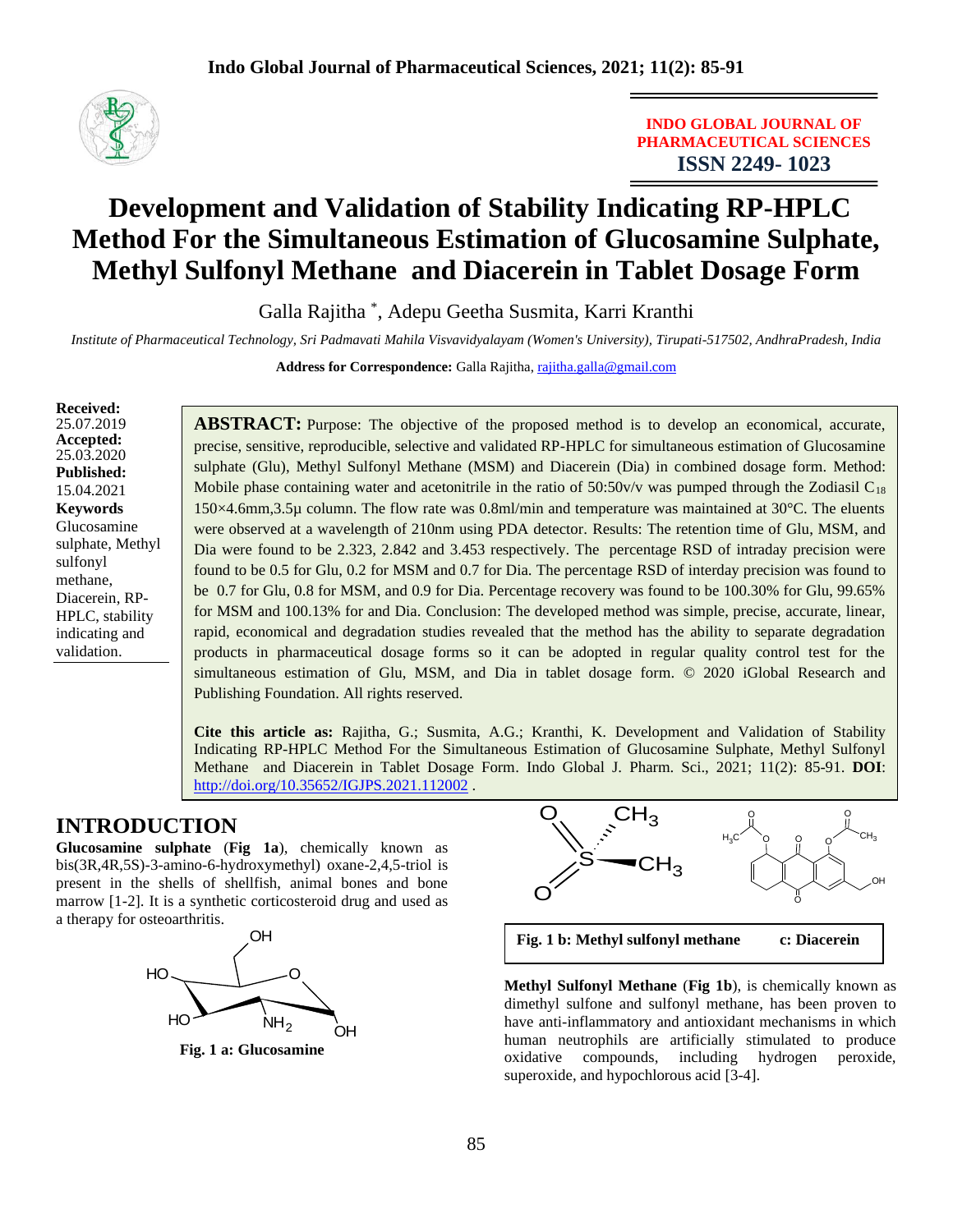

**INDO GLOBAL JOURNAL OF PHARMACEUTICAL SCIENCES ISSN 2249- 1023**

# **Development and Validation of Stability Indicating RP-HPLC Method For the Simultaneous Estimation of Glucosamine Sulphate, Methyl Sulfonyl Methane and Diacerein in Tablet Dosage Form**

Galla Rajitha \* , Adepu Geetha Susmita, Karri Kranthi

*Institute of Pharmaceutical Technology, Sri Padmavati Mahila Visvavidyalayam (Women's University), Tirupati-517502, AndhraPradesh, India*

**Address for Correspondence:** Galla Rajitha, [rajitha.galla@gmail.com](mailto:rajitha.galla@gmail.com)

**Received:**  25.07.2019 **Accepted:**  25.03.2020 **Published:** 15.04.2021 **Keywords** Glucosamine sulphate, Methyl sulfonyl methane, Diacerein, RP-HPLC, stability indicating and validation.

**ABSTRACT:** Purpose: The objective of the proposed method is to develop an economical, accurate, precise, sensitive, reproducible, selective and validated RP-HPLC for simultaneous estimation of Glucosamine sulphate (Glu), Methyl Sulfonyl Methane (MSM) and Diacerein (Dia) in combined dosage form. Method: Mobile phase containing water and acetonitrile in the ratio of  $50:50v/v$  was pumped through the Zodiasil C<sub>18</sub> 150×4.6mm,3.5µ column. The flow rate was 0.8ml/min and temperature was maintained at 30°C. The eluents were observed at a wavelength of 210nm using PDA detector. Results: The retention time of Glu, MSM, and Dia were found to be 2.323, 2.842 and 3.453 respectively. The percentage RSD of intraday precision were found to be 0.5 for Glu, 0.2 for MSM and 0.7 for Dia. The percentage RSD of interday precision was found to be 0.7 for Glu, 0.8 for MSM, and 0.9 for Dia. Percentage recovery was found to be 100.30% for Glu, 99.65% for MSM and 100.13% for and Dia. Conclusion: The developed method was simple, precise, accurate, linear, rapid, economical and degradation studies revealed that the method has the ability to separate degradation products in pharmaceutical dosage forms so it can be adopted in regular quality control test for the simultaneous estimation of Glu, MSM, and Dia in tablet dosage form. © 2020 iGlobal Research and Publishing Foundation. All rights reserved.

**Cite this article as:** Rajitha, G.; Susmita, A.G.; Kranthi, K. Development and Validation of Stability Indicating RP-HPLC Method For the Simultaneous Estimation of Glucosamine Sulphate, Methyl Sulfonyl Methane and Diacerein in Tablet Dosage Form. Indo Global J. Pharm. Sci., 2021; 11(2): 85-91. **DOI**: <http://doi.org/10.35652/IGJPS.2021.112002> .

# **INTRODUCTION**

**Glucosamine sulphate** (**Fig 1a**), chemically known as bis(3R,4R,5S)-3-amino-6-hydroxymethyl) oxane-2,4,5-triol is present in the shells of shellfish, animal bones and bone marrow [1-2]. It is a synthetic corticosteroid drug and used as a therapy for osteoarthritis.



**Fig. 1 a: Glucosamine** 



**Fig. 1 b: Methyl sulfonyl methane c: Diacerein**

**Methyl Sulfonyl Methane** (**Fig 1b**), is chemically known as dimethyl sulfone and sulfonyl methane, has been proven to have anti-inflammatory and antioxidant mechanisms in which human neutrophils are artificially stimulated to produce oxidative compounds, including hydrogen peroxide, superoxide, and hypochlorous acid [3-4].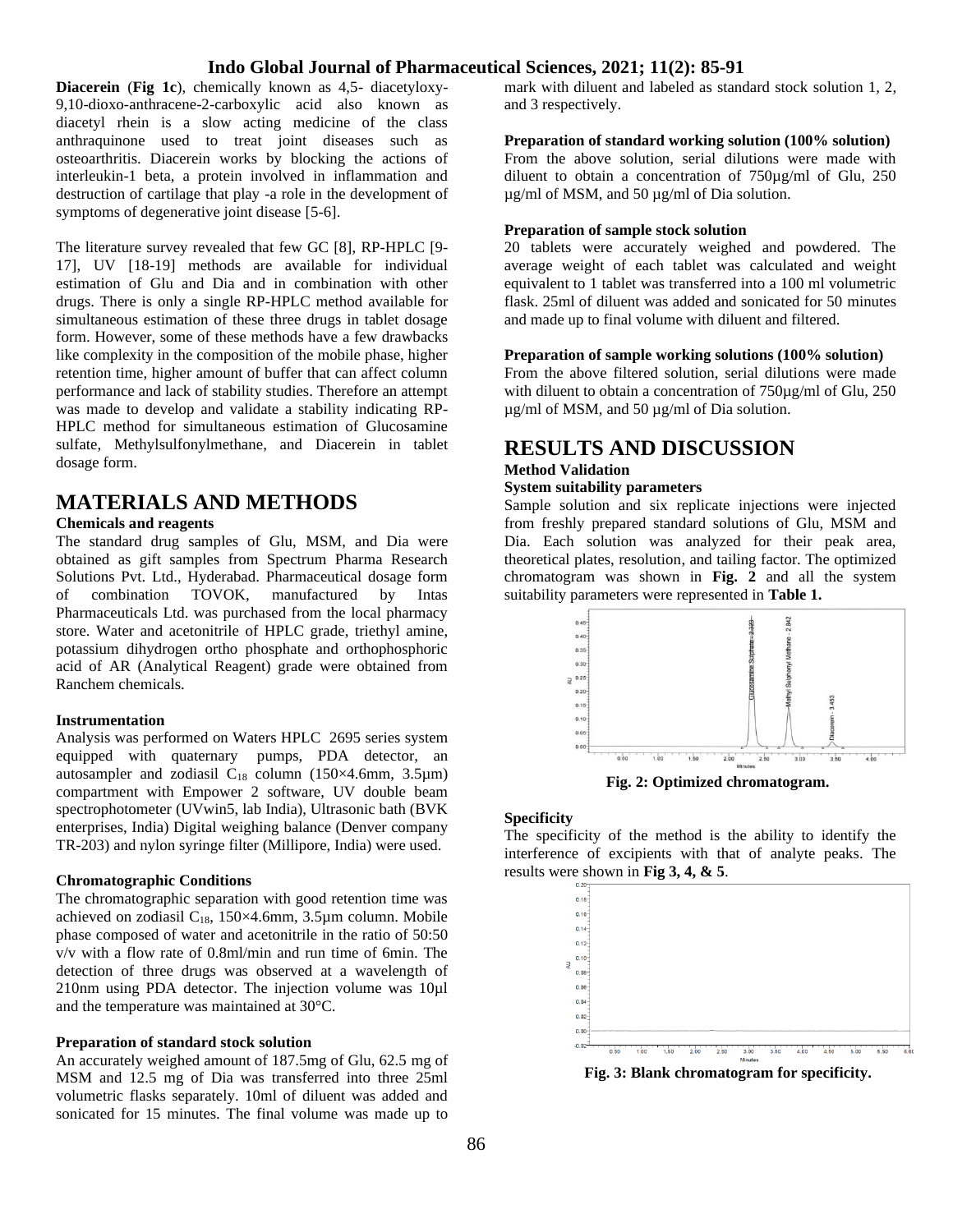## **Indo Global Journal of Pharmaceutical Sciences, 2021; 11(2): 85-91**

**Diacerein** (**Fig 1c**), chemically known as 4,5- diacetyloxy-9,10-dioxo-anthracene-2-carboxylic acid also known as diacetyl rhein is a slow acting medicine of the class anthraquinone used to treat joint diseases such as osteoarthritis. Diacerein works by blocking the actions of interleukin-1 beta, a protein involved in inflammation and destruction of cartilage that play -a role in the development of symptoms of degenerative joint disease [5-6].

The literature survey revealed that few GC [8], RP-HPLC [9- 17], UV [18-19] methods are available for individual estimation of Glu and Dia and in combination with other drugs. There is only a single RP-HPLC method available for simultaneous estimation of these three drugs in tablet dosage form. However, some of these methods have a few drawbacks like complexity in the composition of the mobile phase, higher retention time, higher amount of buffer that can affect column performance and lack of stability studies. Therefore an attempt was made to develop and validate a stability indicating RP-HPLC method for simultaneous estimation of Glucosamine sulfate, Methylsulfonylmethane, and Diacerein in tablet dosage form.

# **MATERIALS AND METHODS**

#### **Chemicals and reagents**

The standard drug samples of Glu, MSM, and Dia were obtained as gift samples from Spectrum Pharma Research Solutions Pvt. Ltd., Hyderabad. Pharmaceutical dosage form of combination TOVOK, manufactured by Intas Pharmaceuticals Ltd. was purchased from the local pharmacy store. Water and acetonitrile of HPLC grade, triethyl amine, potassium dihydrogen ortho phosphate and orthophosphoric acid of AR (Analytical Reagent) grade were obtained from Ranchem chemicals.

#### **Instrumentation**

Analysis was performed on Waters HPLC 2695 series system equipped with quaternary pumps, PDA detector, an autosampler and zodiasil  $C_{18}$  column (150×4.6mm, 3.5µm) compartment with Empower 2 software, UV double beam spectrophotometer (UVwin5, lab India), Ultrasonic bath (BVK enterprises, India) Digital weighing balance (Denver company TR-203) and nylon syringe filter (Millipore, India) were used.

#### **Chromatographic Conditions**

The chromatographic separation with good retention time was achieved on zodiasil  $C_{18}$ , 150×4.6mm, 3.5µm column. Mobile phase composed of water and acetonitrile in the ratio of 50:50 v/v with a flow rate of 0.8ml/min and run time of 6min. The detection of three drugs was observed at a wavelength of 210nm using PDA detector. The injection volume was 10µl and the temperature was maintained at 30°C.

#### **Preparation of standard stock solution**

An accurately weighed amount of 187.5mg of Glu, 62.5 mg of MSM and 12.5 mg of Dia was transferred into three 25ml volumetric flasks separately. 10ml of diluent was added and sonicated for 15 minutes. The final volume was made up to mark with diluent and labeled as standard stock solution 1, 2, and 3 respectively.

### **Preparation of standard working solution (100% solution)**

From the above solution, serial dilutions were made with diluent to obtain a concentration of 750µg/ml of Glu, 250 µg/ml of MSM, and 50 µg/ml of Dia solution.

### **Preparation of sample stock solution**

20 tablets were accurately weighed and powdered. The average weight of each tablet was calculated and weight equivalent to 1 tablet was transferred into a 100 ml volumetric flask. 25ml of diluent was added and sonicated for 50 minutes and made up to final volume with diluent and filtered.

#### **Preparation of sample working solutions (100% solution)**

From the above filtered solution, serial dilutions were made with diluent to obtain a concentration of 750µg/ml of Glu, 250 µg/ml of MSM, and 50 µg/ml of Dia solution.

### **RESULTS AND DISCUSSION Method Validation**

#### **System suitability parameters**

Sample solution and six replicate injections were injected from freshly prepared standard solutions of Glu, MSM and Dia. Each solution was analyzed for their peak area, theoretical plates, resolution, and tailing factor. The optimized chromatogram was shown in **Fig. 2** and all the system suitability parameters were represented in **Table 1.**



**Fig. 2: Optimized chromatogram.**

#### **Specificity**

The specificity of the method is the ability to identify the interference of excipients with that of analyte peaks. The results were shown in **Fig 3, 4, & 5**.



**Fig. 3: Blank chromatogram for specificity.**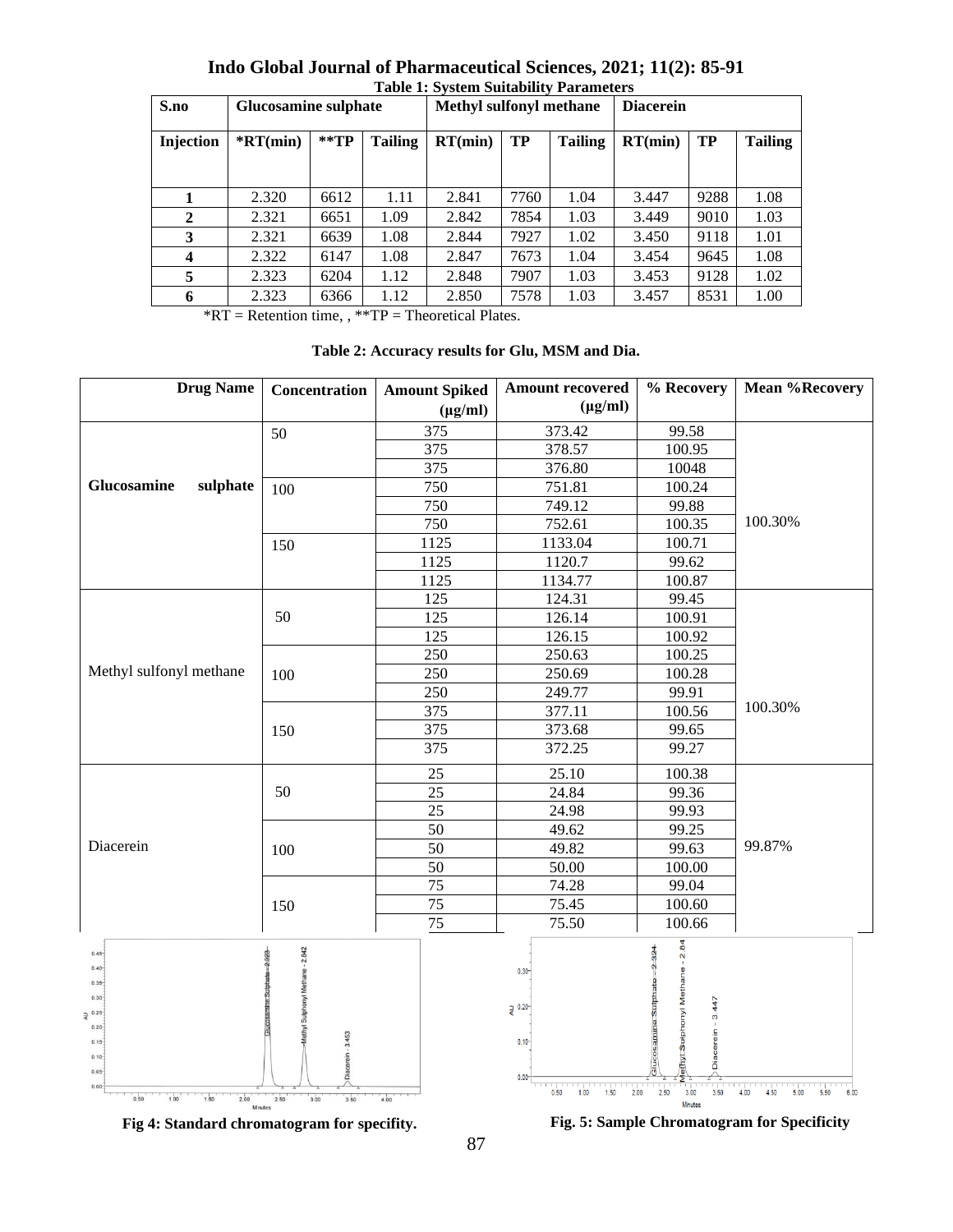| S.no                    | <b>Glucosamine sulphate</b> |                   | Table 1. Dystem Buitability 1 at alletters<br><b>Methyl sulfonyl methane</b> |         |      | <b>Diacerein</b> |         |      |                |
|-------------------------|-----------------------------|-------------------|------------------------------------------------------------------------------|---------|------|------------------|---------|------|----------------|
| Injection               | $*RT(min)$                  | $*$ $\mathbf{TP}$ | <b>Tailing</b>                                                               | RT(min) | TP   | <b>Tailing</b>   | RT(min) | TP   | <b>Tailing</b> |
|                         |                             |                   |                                                                              |         |      |                  |         |      |                |
|                         | 2.320                       | 6612              | 1.11                                                                         | 2.841   | 7760 | 1.04             | 3.447   | 9288 | 1.08           |
| $\mathbf{2}$            | 2.321                       | 6651              | 1.09                                                                         | 2.842   | 7854 | 1.03             | 3.449   | 9010 | 1.03           |
| 3                       | 2.321                       | 6639              | 1.08                                                                         | 2.844   | 7927 | 1.02             | 3.450   | 9118 | 1.01           |
| $\overline{\mathbf{4}}$ | 2.322                       | 6147              | 1.08                                                                         | 2.847   | 7673 | 1.04             | 3.454   | 9645 | 1.08           |
| 5                       | 2.323                       | 6204              | 1.12                                                                         | 2.848   | 7907 | 1.03             | 3.453   | 9128 | 1.02           |
| 6                       | 2.323                       | 6366              | 1.12                                                                         | 2.850   | 7578 | 1.03             | 3.457   | 8531 | 1.00           |

**Indo Global Journal of Pharmaceutical Sciences, 2021; 11(2): 85-91 Table 1: System Suitability Parameters**

\*RT = Retention time, , \*\*TP = Theoretical Plates.

|  |  | Table 2: Accuracy results for Glu, MSM and Dia. |  |  |  |  |
|--|--|-------------------------------------------------|--|--|--|--|
|--|--|-------------------------------------------------|--|--|--|--|

| <b>Drug Name</b>                                                                                                                                                 | Concentration                                                                               | <b>Amount Spiked</b> | <b>Amount recovered</b>                                                    | % Recovery                                                                                                                | <b>Mean %Recovery</b>                |
|------------------------------------------------------------------------------------------------------------------------------------------------------------------|---------------------------------------------------------------------------------------------|----------------------|----------------------------------------------------------------------------|---------------------------------------------------------------------------------------------------------------------------|--------------------------------------|
|                                                                                                                                                                  |                                                                                             | $(\mu g/ml)$         | $(\mu g/ml)$                                                               |                                                                                                                           |                                      |
|                                                                                                                                                                  | 50                                                                                          | 375                  | 373.42                                                                     | 99.58                                                                                                                     |                                      |
|                                                                                                                                                                  |                                                                                             | 375                  | 378.57                                                                     | 100.95                                                                                                                    |                                      |
|                                                                                                                                                                  |                                                                                             | 375                  | 376.80                                                                     | 10048                                                                                                                     |                                      |
| Glucosamine<br>sulphate                                                                                                                                          | 100                                                                                         | 750                  | 751.81                                                                     | 100.24                                                                                                                    |                                      |
|                                                                                                                                                                  |                                                                                             | 750                  | 749.12                                                                     | 99.88                                                                                                                     |                                      |
|                                                                                                                                                                  |                                                                                             | 750                  | 752.61                                                                     | 100.35                                                                                                                    | 100.30%                              |
|                                                                                                                                                                  | 150                                                                                         | 1125                 | 1133.04                                                                    | 100.71                                                                                                                    |                                      |
|                                                                                                                                                                  |                                                                                             | 1125                 | 1120.7                                                                     | 99.62                                                                                                                     |                                      |
|                                                                                                                                                                  |                                                                                             | 1125                 | 1134.77                                                                    | 100.87                                                                                                                    |                                      |
|                                                                                                                                                                  |                                                                                             | 125                  | 124.31                                                                     | 99.45                                                                                                                     |                                      |
|                                                                                                                                                                  | 50                                                                                          | 125                  | 126.14                                                                     | 100.91                                                                                                                    |                                      |
|                                                                                                                                                                  |                                                                                             | 125                  | 126.15                                                                     | 100.92                                                                                                                    |                                      |
|                                                                                                                                                                  |                                                                                             | 250                  | 250.63                                                                     | 100.25                                                                                                                    |                                      |
| Methyl sulfonyl methane                                                                                                                                          | 100                                                                                         | 250                  | 250.69                                                                     | 100.28                                                                                                                    |                                      |
|                                                                                                                                                                  |                                                                                             | 250                  | 249.77                                                                     | 99.91                                                                                                                     |                                      |
|                                                                                                                                                                  |                                                                                             | 375                  | 377.11                                                                     | 100.56                                                                                                                    | 100.30%                              |
|                                                                                                                                                                  | 150                                                                                         | 375                  | 373.68                                                                     | 99.65                                                                                                                     |                                      |
|                                                                                                                                                                  |                                                                                             | 375                  | 372.25                                                                     | 99.27                                                                                                                     |                                      |
|                                                                                                                                                                  |                                                                                             | 25                   | 25.10                                                                      | 100.38                                                                                                                    |                                      |
|                                                                                                                                                                  | 50                                                                                          | 25                   | 24.84                                                                      | 99.36                                                                                                                     |                                      |
|                                                                                                                                                                  |                                                                                             | 25                   | 24.98                                                                      | 99.93                                                                                                                     |                                      |
|                                                                                                                                                                  |                                                                                             | $\overline{50}$      | 49.62                                                                      | 99.25                                                                                                                     |                                      |
| Diacerein                                                                                                                                                        | 100                                                                                         | 50                   | 49.82                                                                      | 99.63                                                                                                                     | 99.87%                               |
|                                                                                                                                                                  |                                                                                             | $\overline{50}$      | 50.00                                                                      | 100.00                                                                                                                    |                                      |
|                                                                                                                                                                  |                                                                                             | $\overline{75}$      | 74.28                                                                      | 99.04                                                                                                                     |                                      |
|                                                                                                                                                                  | 150                                                                                         | 75                   | 75.45                                                                      | 100.60                                                                                                                    |                                      |
|                                                                                                                                                                  |                                                                                             | 75                   | 75.50                                                                      | 100.66                                                                                                                    |                                      |
| $0.45 -$<br>$0.40 -$<br>$0.35 -$<br>$0.30 -$<br>$2^{0.25}$<br>$0.20 -$<br>$0.15 -$<br>$0.10 -$<br>$0.05 -$<br>$0.00 -$<br>1.50<br>1.00<br>0.50<br>2.00<br>Mnutes | <b><i>Methyl Sulphonyl Methane - 2.842</i></b><br>Diacerein - 3.453<br>3.50<br>2.50<br>3.00 | 4.00                 | $0.30 -$<br>$2^{0.20}$<br>$0.10 -$<br>0.00<br>0.50<br>1.00<br>1.50<br>2.00 | ethyt Suphonyl Methane - 2.84<br>$-2.324$<br>Glucosamine Sulphat<br>3.447<br>Diacerein<br>2.50<br>3.00<br>3.50<br>Minutes | 4.00<br>4.50<br>5.00<br>5.50<br>6.00 |

**Fig 4: Standard chromatogram for specifity.**

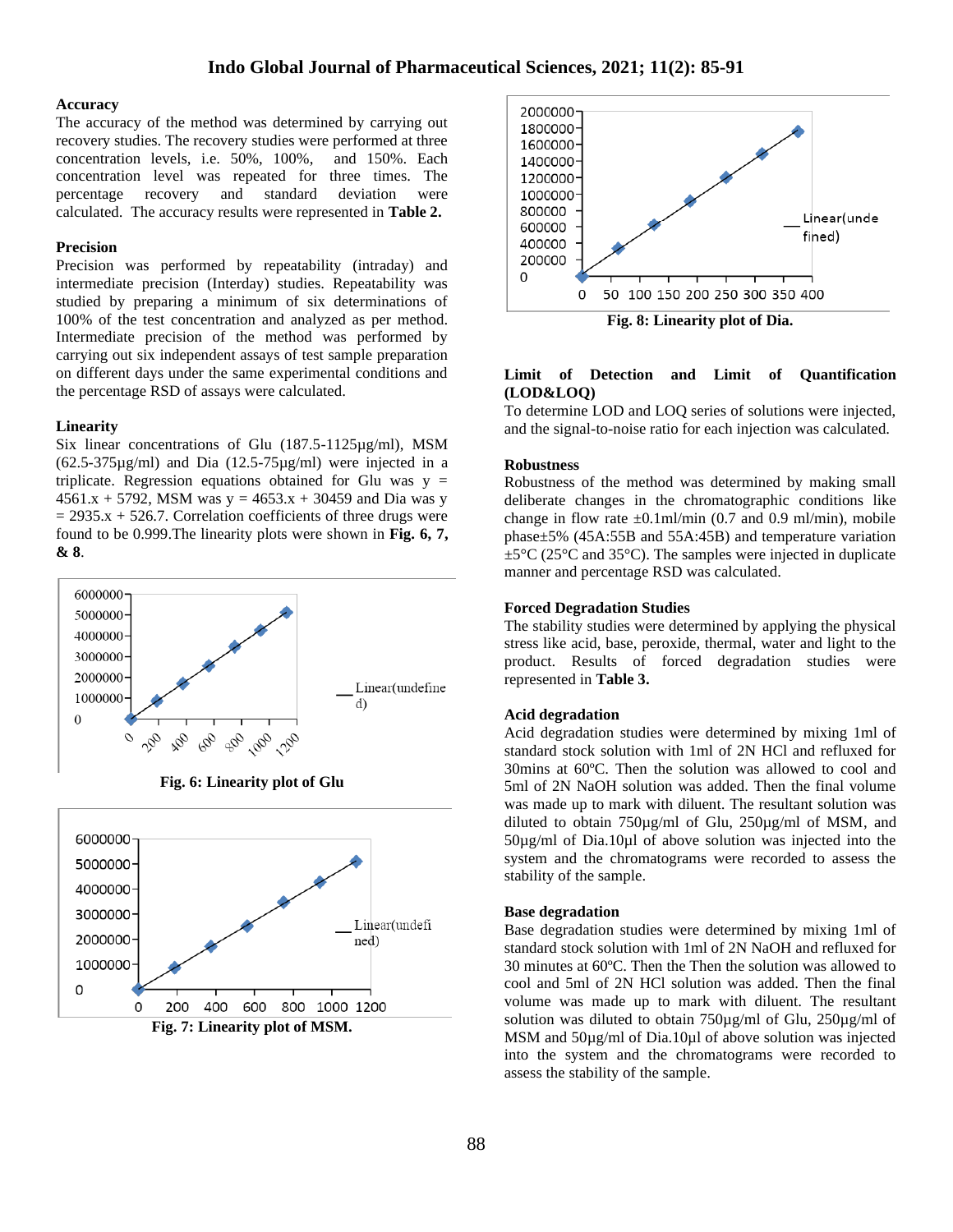#### **Accuracy**

The accuracy of the method was determined by carrying out recovery studies. The recovery studies were performed at three concentration levels, i.e. 50%, 100%, and 150%. Each concentration level was repeated for three times. The percentage recovery and standard deviation were calculated. The accuracy results were represented in **Table 2.**

#### **Precision**

Precision was performed by repeatability (intraday) and intermediate precision (Interday) studies. Repeatability was studied by preparing a minimum of six determinations of 100% of the test concentration and analyzed as per method. Intermediate precision of the method was performed by carrying out six independent assays of test sample preparation on different days under the same experimental conditions and the percentage RSD of assays were calculated.

#### **Linearity**

Six linear concentrations of Glu (187.5-1125µg/ml), MSM (62.5-375µg/ml) and Dia (12.5-75µg/ml) were injected in a triplicate. Regression equations obtained for Glu was  $y =$  $4561.x + 5792$ , MSM was y =  $4653.x + 30459$  and Dia was y  $= 2935.x + 526.7$ . Correlation coefficients of three drugs were found to be 0.999.The linearity plots were shown in **Fig. 6, 7, & 8**.



**Fig. 6: Linearity plot of Glu**





#### **Limit of Detection and Limit of Quantification (LOD&LOQ)**

To determine LOD and LOQ series of solutions were injected, and the signal-to-noise ratio for each injection was calculated.

#### **Robustness**

Robustness of the method was determined by making small deliberate changes in the chromatographic conditions like change in flow rate  $\pm 0.1$ ml/min (0.7 and 0.9 ml/min), mobile phase±5% (45A:55B and 55A:45B) and temperature variation  $\pm 5^{\circ}$ C (25<sup>°</sup>C and 35<sup>°</sup>C). The samples were injected in duplicate manner and percentage RSD was calculated.

#### **Forced Degradation Studies**

The stability studies were determined by applying the physical stress like acid, base, peroxide, thermal, water and light to the product. Results of forced degradation studies were represented in **Table 3.**

#### **Acid degradation**

Acid degradation studies were determined by mixing 1ml of standard stock solution with 1ml of 2N HCl and refluxed for 30mins at 60ºC. Then the solution was allowed to cool and 5ml of 2N NaOH solution was added. Then the final volume was made up to mark with diluent. The resultant solution was diluted to obtain 750µg/ml of Glu, 250µg/ml of MSM, and 50µg/ml of Dia.10µl of above solution was injected into the system and the chromatograms were recorded to assess the stability of the sample.

#### **Base degradation**

Base degradation studies were determined by mixing 1ml of standard stock solution with 1ml of 2N NaOH and refluxed for 30 minutes at 60ºC. Then the Then the solution was allowed to cool and 5ml of 2N HCl solution was added. Then the final volume was made up to mark with diluent. The resultant solution was diluted to obtain 750µg/ml of Glu, 250µg/ml of MSM and 50µg/ml of Dia.10µl of above solution was injected into the system and the chromatograms were recorded to assess the stability of the sample.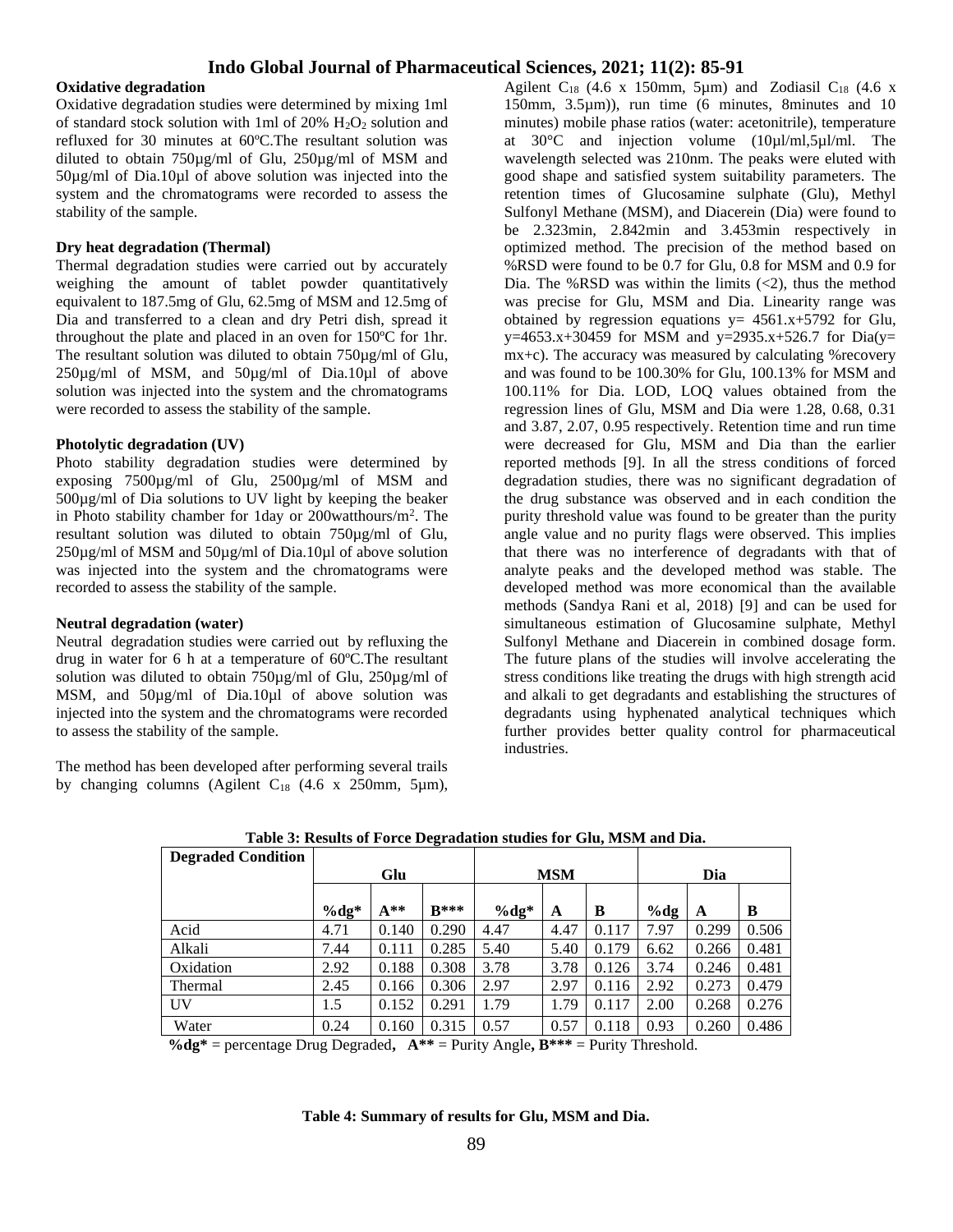### **Oxidative degradation**

Oxidative degradation studies were determined by mixing 1ml of standard stock solution with 1ml of 20%  $H_2O_2$  solution and refluxed for 30 minutes at 60ºC.The resultant solution was diluted to obtain 750µg/ml of Glu, 250µg/ml of MSM and 50µg/ml of Dia.10µl of above solution was injected into the system and the chromatograms were recorded to assess the stability of the sample.

### **Dry heat degradation (Thermal)**

Thermal degradation studies were carried out by accurately weighing the amount of tablet powder quantitatively equivalent to 187.5mg of Glu, 62.5mg of MSM and 12.5mg of Dia and transferred to a clean and dry Petri dish, spread it throughout the plate and placed in an oven for 150ºC for 1hr. The resultant solution was diluted to obtain 750µg/ml of Glu,  $250\mu g/ml$  of MSM, and  $50\mu g/ml$  of Dia.10 $\mu$ l of above solution was injected into the system and the chromatograms were recorded to assess the stability of the sample.

### **Photolytic degradation (UV)**

Photo stability degradation studies were determined by exposing 7500µg/ml of Glu, 2500µg/ml of MSM and 500µg/ml of Dia solutions to UV light by keeping the beaker in Photo stability chamber for 1day or 200watthours/m<sup>2</sup>. The resultant solution was diluted to obtain 750µg/ml of Glu, 250µg/ml of MSM and 50µg/ml of Dia.10µl of above solution was injected into the system and the chromatograms were recorded to assess the stability of the sample.

### **Neutral degradation (water)**

Neutral degradation studies were carried out by refluxing the drug in water for 6 h at a temperature of 60ºC.The resultant solution was diluted to obtain 750µg/ml of Glu, 250µg/ml of MSM, and 50µg/ml of Dia.10µl of above solution was injected into the system and the chromatograms were recorded to assess the stability of the sample.

The method has been developed after performing several trails by changing columns (Agilent  $C_{18}$  (4.6 x 250mm, 5 $\mu$ m),

Agilent  $C_{18}$  (4.6 x 150mm, 5µm) and Zodiasil  $C_{18}$  (4.6 x 150mm, 3.5µm)), run time (6 minutes, 8minutes and 10 minutes) mobile phase ratios (water: acetonitrile), temperature at 30°C and injection volume (10µl/ml,5µl/ml. The wavelength selected was 210nm. The peaks were eluted with good shape and satisfied system suitability parameters. The retention times of Glucosamine sulphate (Glu), Methyl Sulfonyl Methane (MSM), and Diacerein (Dia) were found to be 2.323min, 2.842min and 3.453min respectively in optimized method. The precision of the method based on %RSD were found to be 0.7 for Glu, 0.8 for MSM and 0.9 for Dia. The %RSD was within the limits  $\left( \langle 2 \rangle \right)$ , thus the method was precise for Glu, MSM and Dia. Linearity range was obtained by regression equations  $y = 4561.x+5792$  for Glu,  $y=4653.x+30459$  for MSM and  $y=2935.x+526.7$  for Dia(y= mx+c). The accuracy was measured by calculating %recovery and was found to be 100.30% for Glu, 100.13% for MSM and 100.11% for Dia. LOD, LOQ values obtained from the regression lines of Glu, MSM and Dia were 1.28, 0.68, 0.31 and 3.87, 2.07, 0.95 respectively. Retention time and run time were decreased for Glu, MSM and Dia than the earlier reported methods [9]. In all the stress conditions of forced degradation studies, there was no significant degradation of the drug substance was observed and in each condition the purity threshold value was found to be greater than the purity angle value and no purity flags were observed. This implies that there was no interference of degradants with that of analyte peaks and the developed method was stable. The developed method was more economical than the available methods (Sandya Rani et al, 2018) [9] and can be used for simultaneous estimation of Glucosamine sulphate, Methyl Sulfonyl Methane and Diacerein in combined dosage form. The future plans of the studies will involve accelerating the stress conditions like treating the drugs with high strength acid and alkali to get degradants and establishing the structures of degradants using hyphenated analytical techniques which further provides better quality control for pharmaceutical industries.

| Table 5. Results of Force Degragation studies for Giu, Mishi and Dia.<br><b>Degraded Condition</b> |        |       |        |            |      |       |        |       |       |
|----------------------------------------------------------------------------------------------------|--------|-------|--------|------------|------|-------|--------|-------|-------|
|                                                                                                    | Glu    |       |        | <b>MSM</b> |      |       | Dia    |       |       |
|                                                                                                    | $%dg*$ | $A**$ | $R***$ | $%dg*$     | A    | B     | $%$ dg | A     | B     |
| Acid                                                                                               | 4.71   | 0.140 | 0.290  | 4.47       | 4.47 | 0.117 | 7.97   | 0.299 | 0.506 |
| Alkali                                                                                             | 7.44   | 0.111 | 0.285  | 5.40       | 5.40 | 0.179 | 6.62   | 0.266 | 0.481 |
| Oxidation                                                                                          | 2.92   | 0.188 | 0.308  | 3.78       | 3.78 | 0.126 | 3.74   | 0.246 | 0.481 |
| Thermal                                                                                            | 2.45   | 0.166 | 0.306  | 2.97       | 2.97 | 0.116 | 2.92   | 0.273 | 0.479 |
| UV                                                                                                 | 1.5    | 0.152 | 0.291  | 1.79       | 1.79 | 0.117 | 2.00   | 0.268 | 0.276 |
| Water                                                                                              | 0.24   | 0.160 | 0.315  | 0.57       | 0.57 | 0.118 | 0.93   | 0.260 | 0.486 |

**Table 3: Results of Force Degradation studies for Glu, MSM and Dia.**

**%dg\*** = percentage Drug Degraded**, A\*\*** = Purity Angle**, B\*\*\*** = Purity Threshold.

**Table 4: Summary of results for Glu, MSM and Dia.**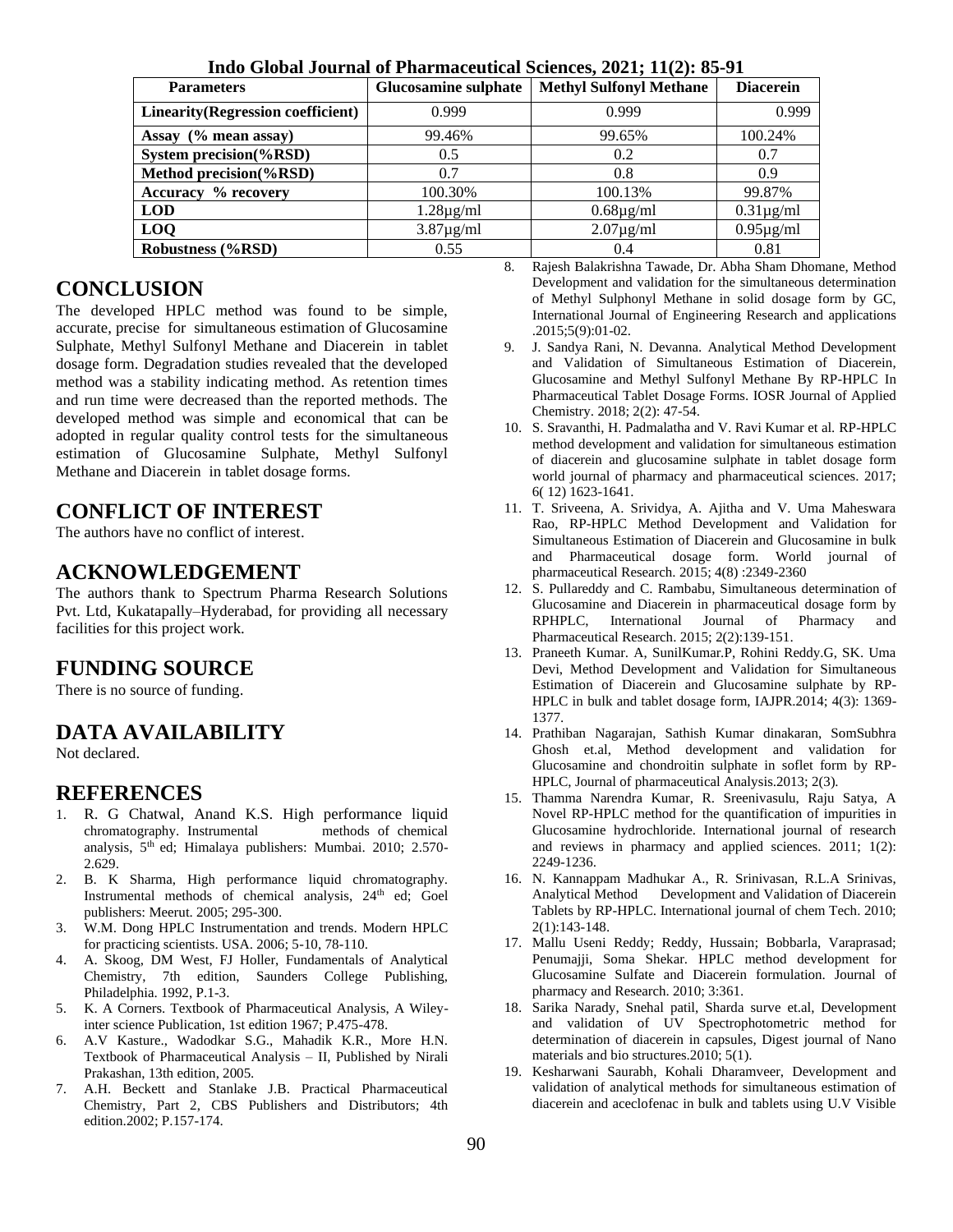| <b>Parameters</b>                         | Glucosamine sulphate | <b>Methyl Sulfonyl Methane</b> | <b>Diacerein</b> |  |
|-------------------------------------------|----------------------|--------------------------------|------------------|--|
| <b>Linearity</b> (Regression coefficient) | 0.999                | 0.999                          | 0.999            |  |
| Assay $(\%$ mean assay)                   | 99.46%               | 99.65%                         | 100.24%          |  |
| System precision(%RSD)                    | 0.5                  | 0.2                            | 0.7              |  |
| Method precision(%RSD)                    | 0.7                  | 0.8                            | 0.9              |  |
| Accuracy % recovery                       | 100.30%              | 100.13%                        | 99.87%           |  |
| <b>LOD</b>                                | $1.28\mu$ g/ml       | $0.68\mu$ g/ml                 | $0.31\mu$ g/ml   |  |
| <b>LOQ</b>                                | $3.87\mu$ g/ml       | $2.07\mu$ g/ml                 | $0.95\mu$ g/ml   |  |
| <b>Robustness (%RSD)</b>                  | 0.55                 | (0.4)                          | 0.81             |  |

**Indo Global Journal of Pharmaceutical Sciences, 2021; 11(2): 85-91**

# **CONCLUSION**

The developed HPLC method was found to be simple, accurate, precise for simultaneous estimation of Glucosamine Sulphate, Methyl Sulfonyl Methane and Diacerein in tablet dosage form. Degradation studies revealed that the developed method was a stability indicating method. As retention times and run time were decreased than the reported methods. The developed method was simple and economical that can be adopted in regular quality control tests for the simultaneous estimation of Glucosamine Sulphate, Methyl Sulfonyl Methane and Diacerein in tablet dosage forms.

# **CONFLICT OF INTEREST**

The authors have no conflict of interest.

# **ACKNOWLEDGEMENT**

The authors thank to Spectrum Pharma Research Solutions Pvt. Ltd, Kukatapally–Hyderabad, for providing all necessary facilities for this project work.

# **FUNDING SOURCE**

There is no source of funding.

# **DATA AVAILABILITY**

Not declared.

# **REFERENCES**

- 1. R. G Chatwal, Anand K.S. High performance liquid chromatography. Instrumental analysis, 5th ed; Himalaya publishers: Mumbai. 2010; 2.570- 2.629.
- 2. B. K Sharma, High performance liquid chromatography. Instrumental methods of chemical analysis, 24<sup>th</sup> ed; Goel publishers: Meerut. 2005; 295-300.
- 3. W.M. Dong HPLC Instrumentation and trends. Modern HPLC for practicing scientists. USA. 2006; 5-10, 78-110.
- 4. A. Skoog, DM West, FJ Holler, Fundamentals of Analytical Chemistry, 7th edition, Saunders College Publishing, Philadelphia. 1992, P.1-3.
- 5. K. A Corners. Textbook of Pharmaceutical Analysis, A Wileyinter science Publication, 1st edition 1967; P.475-478.
- 6. A.V Kasture., Wadodkar S.G., Mahadik K.R., More H.N. Textbook of Pharmaceutical Analysis – II, Published by Nirali Prakashan, 13th edition, 2005.
- 7. A.H. Beckett and Stanlake J.B. Practical Pharmaceutical Chemistry, Part 2, CBS Publishers and Distributors; 4th edition.2002; P.157-174.
- 8. Rajesh Balakrishna Tawade, Dr. Abha Sham Dhomane, Method Development and validation for the simultaneous determination of Methyl Sulphonyl Methane in solid dosage form by GC, International Journal of Engineering Research and applications .2015;5(9):01-02.
- 9. J. Sandya Rani, N. Devanna. Analytical Method Development and Validation of Simultaneous Estimation of Diacerein, Glucosamine and Methyl Sulfonyl Methane By RP-HPLC In Pharmaceutical Tablet Dosage Forms. IOSR Journal of Applied Chemistry. 2018; 2(2): 47-54.
- 10. S. Sravanthi, H. Padmalatha and V. Ravi Kumar et al. RP-HPLC method development and validation for simultaneous estimation of diacerein and glucosamine sulphate in tablet dosage form world journal of pharmacy and pharmaceutical sciences. 2017; 6( 12) 1623-1641.
- 11. T. Sriveena, A. Srividya, A. Ajitha and V. Uma Maheswara Rao, RP-HPLC Method Development and Validation for Simultaneous Estimation of Diacerein and Glucosamine in bulk and Pharmaceutical dosage form. World journal of pharmaceutical Research. 2015; 4(8) :2349-2360
- 12. S. Pullareddy and C. Rambabu, Simultaneous determination of Glucosamine and Diacerein in pharmaceutical dosage form by RPHPLC, International Journal of Pharmacy and Pharmaceutical Research. 2015; 2(2):139-151.
- 13. Praneeth Kumar. A, SunilKumar.P, Rohini Reddy.G, SK. Uma Devi, Method Development and Validation for Simultaneous Estimation of Diacerein and Glucosamine sulphate by RP-HPLC in bulk and tablet dosage form, IAJPR.2014; 4(3): 1369- 1377.
- 14. Prathiban Nagarajan, Sathish Kumar dinakaran, SomSubhra Ghosh et.al, Method development and validation for Glucosamine and chondroitin sulphate in soflet form by RP-HPLC, Journal of pharmaceutical Analysis.2013; 2(3).
- 15. Thamma Narendra Kumar, R. Sreenivasulu, Raju Satya, A Novel RP-HPLC method for the quantification of impurities in Glucosamine hydrochloride. International journal of research and reviews in pharmacy and applied sciences. 2011; 1(2): 2249-1236.
- 16. N. Kannappam Madhukar A., R. Srinivasan, R.L.A Srinivas, Analytical Method Development and Validation of Diacerein Tablets by RP-HPLC. International journal of chem Tech. 2010; 2(1):143-148.
- 17. Mallu Useni Reddy; Reddy, Hussain; Bobbarla, Varaprasad; Penumajji, Soma Shekar. HPLC method development for Glucosamine Sulfate and Diacerein formulation. Journal of pharmacy and Research. 2010; 3:361.
- 18. Sarika Narady, Snehal patil, Sharda surve et.al, Development and validation of UV Spectrophotometric method for determination of diacerein in capsules, Digest journal of Nano materials and bio structures.2010; 5(1).
- 19. Kesharwani Saurabh, Kohali Dharamveer, Development and validation of analytical methods for simultaneous estimation of diacerein and aceclofenac in bulk and tablets using U.V Visible